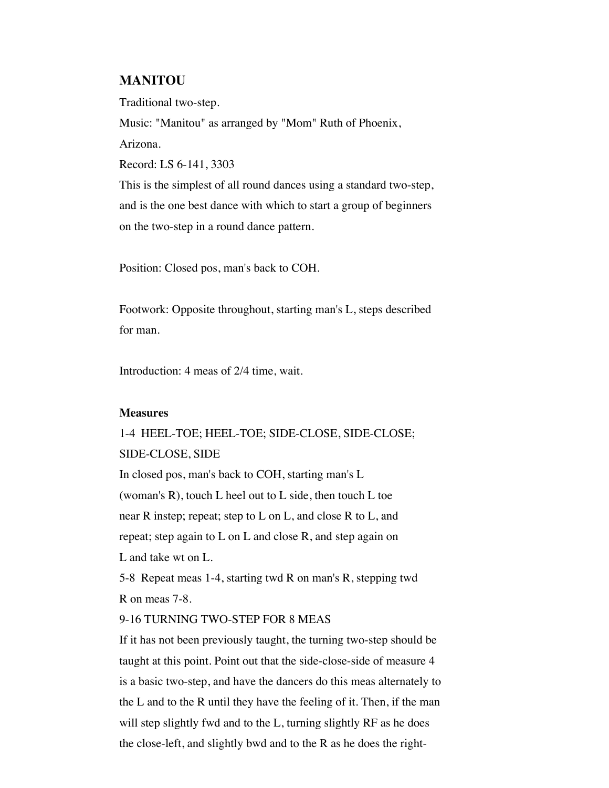## **MANITOU**

Traditional two-step.

Music: "Manitou" as arranged by "Mom" Ruth of Phoenix,

Arizona.

Record: LS 6-141, 3303

This is the simplest of all round dances using a standard two-step, and is the one best dance with which to start a group of beginners on the two-step in a round dance pattern.

Position: Closed pos, man's back to COH.

Footwork: Opposite throughout, starting man's L, steps described for man.

Introduction: 4 meas of 2/4 time, wait.

## **Measures**

1-4 HEEL-TOE; HEEL-TOE; SIDE-CLOSE, SIDE-CLOSE; SIDE-CLOSE, SIDE In closed pos, man's back to COH, starting man's L

(woman's R), touch L heel out to L side, then touch L toe near R instep; repeat; step to L on L, and close R to L, and repeat; step again to  $L$  on  $L$  and close  $R$ , and step again on L and take wt on L.

5-8 Repeat meas 1-4, starting twd R on man's R, stepping twd R on meas 7-8.

## 9-16 TURNING TWO-STEP FOR 8 MEAS

If it has not been previously taught, the turning two-step should be taught at this point. Point out that the side-close-side of measure 4 is a basic two-step, and have the dancers do this meas alternately to the L and to the R until they have the feeling of it. Then, if the man will step slightly fwd and to the L, turning slightly RF as he does the close-left, and slightly bwd and to the R as he does the right